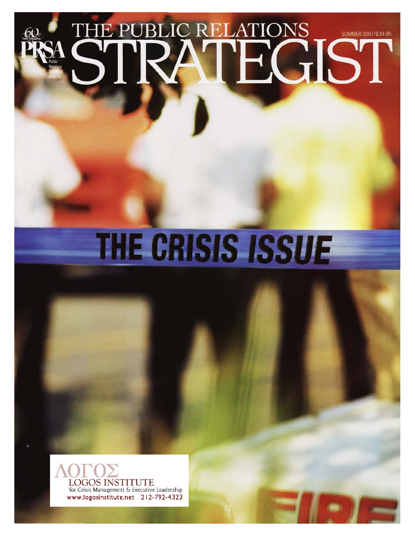### E PUBLIC RELATIONS SUMMER 2007/\$39.95 **SIST**

# THE CRISIS ISSUE

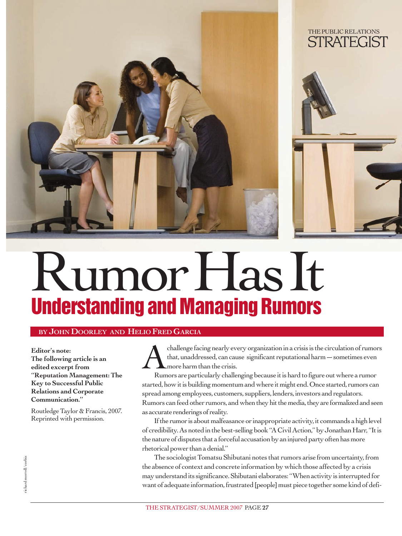





## Rumor Has It **Understanding and Managing Rumors**

#### BY JOHN DOORLEY AND HELIO FRED GARCIA

Editor's note: The following article is an edited excerpt from "Reputation Management: The Key to Successful Public Relations and Corporate Communication."

Routledge Taylor & Francis, 2007. Reprinted with permission.

challenge facing nearly every organization in a crisis is the circulation of rumors<br>that, unaddressed, can cause significant reputational harm — sometimes even<br>more harm than the crisis.<br>Rumors are particularly challenging that, unaddressed, can cause significant reputational harm — sometimes even more harm than the crisis.

Rumors are particularly challenging because it is hard to figure out where a rumor started, how it is building momentum and where it might end. Once started, rumors can spread among employees, customers, suppliers, lenders, investors and regulators. Rumors can feed other rumors, and when they hit the media, they are formalized and seen as accurate renderings of reality.

If the rumor is about malfeasance or inappropriate activity, it commands a high level of credibility. As noted in the best-selling book "A Civil Action," by Jonathan Harr, "It is the nature of disputes that a forceful accusation by an injured party often has more rhetorical power than a denial."

The sociologist Tomatsu Shibutani notes that rumors arise from uncertainty, from the absence of context and concrete information by which those affected by a crisis may understand its significance. Shibutani elaborates: "When activity is interrupted for want of adequate information, frustrated [people] must piece together some kind of defi-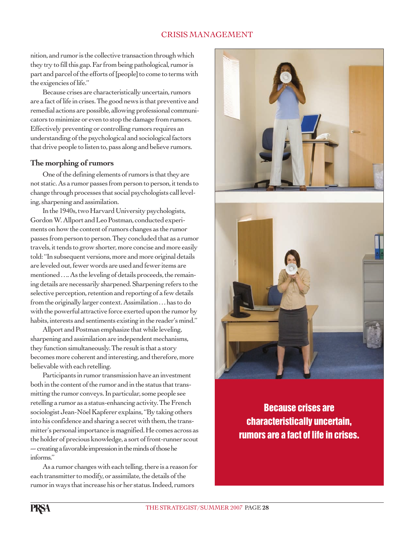nition, and rumor is the collective transaction through which they try to fill this gap. Far from being pathological, rumor is part and parcel of the efforts of [people] to come to terms with the exigencies of life."

Because crises are characteristically uncertain, rumors are a fact of life in crises. The good news is that preventive and remedial actions are possible, allowing professional communicators to minimize or even to stop the damage from rumors. Effectively preventing or controlling rumors requires an understanding of the psychological and sociological factors that drive people to listen to, pass along and believe rumors.

#### The morphing of rumors

One of the defining elements of rumors is that they are not static. As a rumor passes from person to person, it tends to change through processes that social psychologists call leveling, sharpening and assimilation.

In the 1940s, two Harvard University psychologists, Gordon W. Allport and Leo Postman, conducted experiments on how the content of rumors changes as the rumor passes from person to person. They concluded that as a rumor travels, it tends to grow shorter, more concise and more easily told: "In subsequent versions, more and more original details are leveled out, fewer words are used and fewer items are mentioned . . .. As the leveling of details proceeds, the remaining details are necessarily sharpened. Sharpening refers to the selective perception, retention and reporting of a few details from the originally larger context. Assimilation . . . has to do with the powerful attractive force exerted upon the rumor by habits, interests and sentiments existing in the reader's mind."

Allport and Postman emphasize that while leveling, sharpening and assimilation are independent mechanisms, they function simultaneously. The result is that a story becomes more coherent and interesting, and therefore, more believable with each retelling.

Participants in rumor transmission have an investment both in the content of the rumor and in the status that transmitting the rumor conveys. In particular, some people see retelling a rumor as a status-enhancing activity. The French sociologist Jean-Nöel Kapferer explains, "By taking others into his confidence and sharing a secret with them, the transmitter's personal importance is magnified. He comes across as the holder of precious knowledge, a sort of front-runner scout — creating a favorable impression in the minds of those he informs."

As a rumor changes with each telling, there is a reason for each transmitter to modify, or assimilate, the details of the rumor in ways that increase his or her status. Indeed, rumors



**Because crises are characteristically uncertain, rumors are a fact of life in crises.**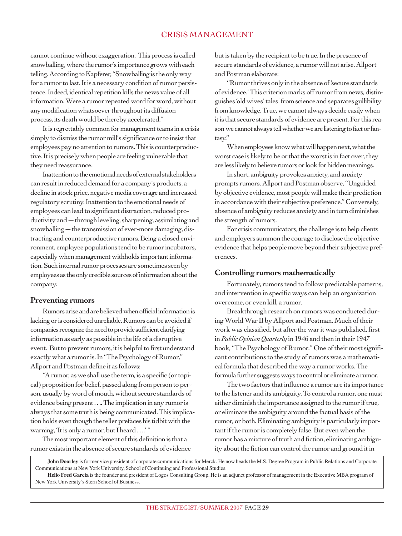cannot continue without exaggeration. This process is called snowballing, where the rumor's importance grows with each telling. According to Kapferer, "Snowballing is the only way for a rumor to last. It is a necessary condition of rumor persistence. Indeed, identical repetition kills the news value of all information. Were a rumor repeated word for word, without any modification whatsoever throughout its diffusion process, its death would be thereby accelerated."

It is regrettably common for management teams in a crisis simply to dismiss the rumor mill's significance or to insist that employees pay no attention to rumors. This is counterproductive. It is precisely when people are feeling vulnerable that they need reassurance.

Inattention to the emotional needs of external stakeholders can result in reduced demand for a company's products, a decline in stock price, negative media coverage and increased regulatory scrutiny. Inattention to the emotional needs of employees can lead to significant distraction, reduced productivity and — through leveling, sharpening, assimilating and snowballing — the transmission of ever-more damaging, distracting and counterproductive rumors. Being a closed environment, employee populations tend to be rumor incubators, especially when management withholds important information. Such internal rumor processes are sometimes seen by employees as the only credible sources of informationabout the company.

#### Preventing rumors

Rumors arise and are believed when official information is lacking or is considered unreliable. Rumors can be avoided if companies recognize the need to provide sufficient clarifying information as early as possible in the life of a disruptive event. But to prevent rumors, it is helpful to first understand exactly what a rumor is. In "The Psychology of Rumor," Allport and Postman define it as follows:

"A rumor, as we shall use the term, is a specific (or topical) proposition for belief, passed along from person to person, usually by word of mouth, without secure standards of evidence being present . . .. The implication in any rumor is always that some truth is being communicated. This implication holds even though the teller prefaces his tidbit with the warning, 'It is only a rumor, but I heard . . ..' "

The most important element of this definition is that a rumor exists in the absence of secure standards of evidence but is taken by the recipient to be true. In the presence of secure standards of evidence, a rumor will not arise. Allport and Postman elaborate:

"Rumor thrives only in the absence of 'secure standards of evidence.' This criterion marks off rumor from news, distinguishes 'old wives' tales' from science and separates gullibility from knowledge. True, we cannot always decide easily when it is that secure standards of evidence are present. For this reason we cannot always tell whether we are listening to fact or fantasy."

When employees know what will happen next, what the worst case is likely to be or that the worst is in fact over, they are less likely to believe rumors or look for hidden meanings.

In short, ambiguity provokes anxiety, and anxiety prompts rumors. Allport and Postman observe, "Unguided by objective evidence, most people will make their prediction in accordance with their subjective preference." Conversely, absence of ambiguity reduces anxiety and in turn diminishes the strength of rumors.

For crisis communicators, the challenge is to help clients and employers summon the courage to disclose the objective evidence that helps people move beyond their subjective preferences.

#### Controlling rumors mathematically

Fortunately, rumors tend to follow predictable patterns, and intervention in specific ways can help an organization overcome, or even kill, a rumor.

Breakthrough research on rumors was conducted during World War II by Allport and Postman. Much of their work was classified, but after the war it was published, first in *Public Opinion Quarterly* in 1946 and then in their 1947 book, "The Psychology of Rumor." One of their most significant contributions to the study of rumors was a mathematical formula that described the way a rumor works. The formula further suggests ways to control or eliminate a rumor.

The two factors that influence a rumor are its importance to the listener and its ambiguity. To control a rumor, one must either diminish the importance assigned to the rumor if true, or eliminate the ambiguity around the factual basis of the rumor, or both. Eliminating ambiguity is particularly important if the rumor is completely false. But even when the rumor has a mixture of truth and fiction, eliminating ambiguity about the fiction can control the rumor and ground it in

**John Doorley** is former vice president of corporate communications for Merck. He now heads the M.S. Degree Program in Public Relations and Corporate Communications at New York University, School of Continuing and Professional Studies.

**Helio Fred Garcia** is the founder and president of Logos Consulting Group. He is an adjunct professor of management in the Executive MBA program of New York University's Stern School of Business.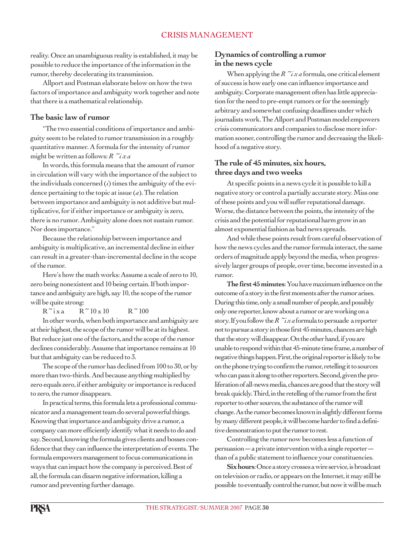reality. Once an unambiguous reality is established, it may be possible to reduce the importance of the information in the rumor, thereby decelerating its transmission.

Allport and Postman elaborate below on how the two factors of importance and ambiguity work together and note that there is a mathematical relationship.

#### The basic law of rumor

"The two essential conditions of importance and ambiguity seem to be related to rumor transmission in a roughly quantitative manner. A formula for the intensity of rumor might be written as follows:  $R \tilde{~}i x a$ 

In words, this formula means that the amount of rumor in circulation will vary with the importance of the subject to the individuals concerned  $(i)$  times the ambiguity of the evidence pertaining to the topic at issue (*a*). The relation between importance and ambiguity is not additive but multiplicative, for if either importance or ambiguity is zero, there is no rumor. Ambiguity alone does not sustain rumor. Nor does importance."

Because the relationship between importance and ambiguity is multiplicative, an incremental decline in either can result in a greater-than-incremental decline in the scope of the rumor.

Here's how the math works: Assume a scale of zero to 10, zero being nonexistent and 10 being certain. If both importance and ambiguity are high, say 10, the scope of the rumor will be quite strong:

 $R^{\sim}$ ixa  $R^{\sim}10 \times 10$   $R^{\sim}100$ 

In other words, when both importance and ambiguity are at their highest, the scope of the rumor will be at its highest. But reduce just one of the factors, and the scope of the rumor declines considerably. Assume that importance remains at 10 but that ambiguity can be reduced to 3.

The scope of the rumor has declined from 100 to 30, or by more than two-thirds. And because anything multiplied by zero equals zero, if either ambiguity or importance is reduced to zero, the rumor disappears.

In practical terms, this formula lets a professional communicator and a management team do several powerful things. Knowing that importance and ambiguity drive a rumor, a company can more efficiently identify what it needs to do and say. Second, knowing the formula gives clients and bosses confidence that they can influence the interpretation of events. The formula empowers management to focus communications in ways that can impact how the company is perceived. Best of all, the formula can disarm negative information, killing a rumor and preventing further damage.

#### Dynamics of controlling a rumor in the news cycle

When applying the  $R \tilde{\iota} x a$  formula, one critical element of success is how early one can influence importance and ambiguity. Corporate management often has little appreciation for the need to pre-empt rumors or for the seemingly arbitrary and somewhat confusing deadlines under which journalists work. The Allport and Postman model empowers crisis communicators and companies to disclose more information sooner, controlling the rumor and decreasing the likelihood of a negative story.

#### The rule of 45 minutes, six hours, three days and two weeks

At specific points in a news cycle it is possible to kill a negative story or control a partially accurate story. Miss one of these points and you will suffer reputational damage. Worse, the distance between the points, the intensity of the crisis and the potential for reputational harm grow in an almost exponential fashion as bad news spreads.

And while these points result from careful observation of how the news cycles and the rumor formula interact, the same orders of magnitude apply beyond the media, when progressively larger groups of people, over time, become invested in a rumor.

The first 45 minutes: You have maximum influence on the outcome of a story in the first moments after the rumor arises. During this time, only a small number of people, and possibly only one reporter, know about a rumor or are working on a story. If you follow the *R ~ i x a*formula to persuade a reporter not to pursue a story in those first 45 minutes, chances are high that the story will disappear. On the other hand, if you are unable to respond within that 45-minute time frame, a number of negative things happen. First, the original reporter is likely to be on the phone trying to confirm the rumor, retelling it to sources who can pass it along to other reporters. Second, given the proliferation of all-news media, chances are good that the story will break quickly. Third, in the retelling of the rumor from the first reporter to other sources, the substance of the rumor will change. As the rumor becomes known in slightly different forms by many different people, it will become harder to find a definitive demonstration to put the rumor to rest.

Controlling the rumor now becomes less a function of persuasion — a private intervention with a single reporter than of a public statement to influence your constituencies.

Six hours: Once a story crosses a wire service, is broadcast on television or radio, or appears on the Internet, it may still be possible to eventually control the rumor, but now it will bemuch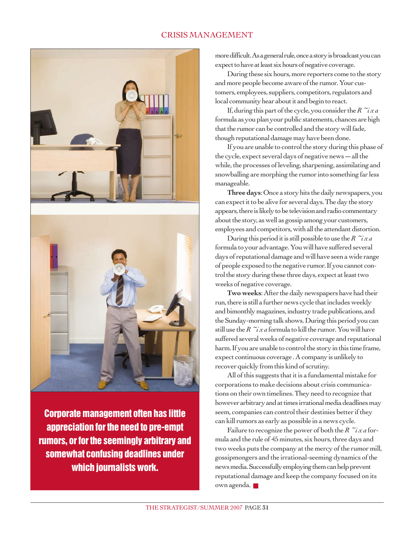

**Corporate management often has little appreciation for the need to pre-empt rumors, or for the seemingly arbitrary and somewhat confusing deadlines under which journalists work.**

more difficult. As a general rule, once a story is broadcastyou can expect to have at least six hours of negative coverage.

During these six hours, more reporters come to the story and more people become aware of the rumor. Your customers, employees, suppliers, competitors, regulators and local community hear about it and begin to react.

If, during this part of the cycle, you consider the *R ~ i x a* formula as you plan your public statements, chances are high that the rumor can be controlled and the story will fade, though reputational damage may have been done.

If you are unable to control the story during this phase of the cycle, expect several days of negative news — all the while, the processes of leveling, sharpening, assimilating and snowballing are morphing the rumor into something far less manageable.

Three days: Once a story hits the daily newspapers, you can expect it to be alive for several days. The day the story appears, there is likely to be television and radio commentary about the story, as well as gossip among your customers, employees and competitors, with all the attendant distortion.

During this period it is still possible to use the  $R \tilde{u} x a$ formula to your advantage. You will have suffered several days of reputational damage and will have seen a wide range of people exposed to the negative rumor. If you cannot control the story during these three days, expect at least two weeks of negative coverage.

Two weeks: After the daily newspapers have had their run, there is still a further news cycle that includes weekly and bimonthly magazines, industry trade publications, and the Sunday-morning talk shows. During this period you can still use the  $R \tilde{u} x a$  formula to kill the rumor. You will have suffered several weeks of negative coverage and reputational harm. If you are unable to control the story in this time frame, expect continuous coverage . A company is unlikely to recover quickly from this kind of scrutiny.

All of this suggests that it is a fundamental mistake for corporations to make decisions about crisis communications on their own timelines. They need to recognize that however arbitrary and at times irrational media deadlines may seem, companies can control their destinies better if they can kill rumors as early as possible in a news cycle.

Failure to recognize the power of both the  $R \tilde{i} x a$  formula and the rule of 45 minutes, six hours, three days and two weeks puts the company at the mercy of the rumor mill, gossipmongers and the irrational-seeming dynamics of the news media. Successfully employing them can help prevent reputational damage and keep the company focused on its own agenda. ■